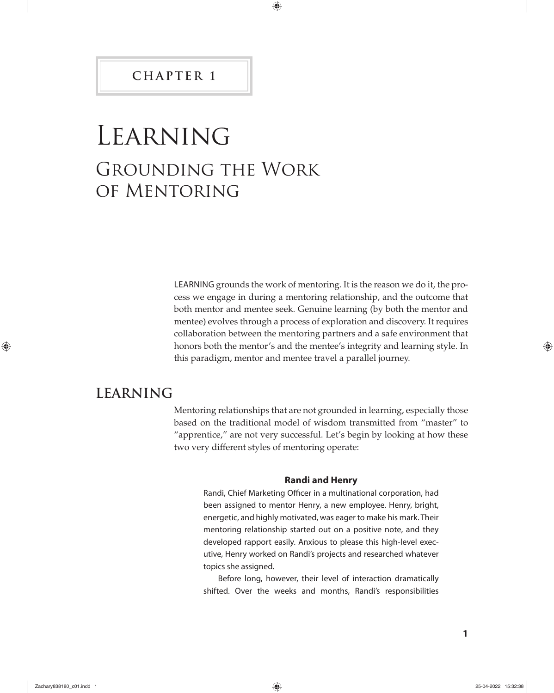# **CHAPTER 1**

# LEARNING Grounding the Work of Mentoring

⊕

LEARNING grounds the work of mentoring. It is the reason we do it, the process we engage in during a mentoring relationship, and the outcome that both mentor and mentee seek. Genuine learning (by both the mentor and mentee) evolves through a process of exploration and discovery. It requires collaboration between the mentoring partners and a safe environment that honors both the mentor's and the mentee's integrity and learning style. In this paradigm, mentor and mentee travel a parallel journey.

# **LEARNING**

Mentoring relationships that are not grounded in learning, especially those based on the traditional model of wisdom transmitted from "master" to "apprentice," are not very successful. Let's begin by looking at how these two very different styles of mentoring operate:

#### **Randi and Henry**

Randi, Chief Marketing Officer in a multinational corporation, had been assigned to mentor Henry, a new employee. Henry, bright, energetic, and highly motivated, was eager to make his mark. Their mentoring relationship started out on a positive note, and they developed rapport easily. Anxious to please this high-level executive, Henry worked on Randi's projects and researched whatever topics she assigned.

Before long, however, their level of interaction dramatically shifted. Over the weeks and months, Randi's responsibilities

**1**

⊕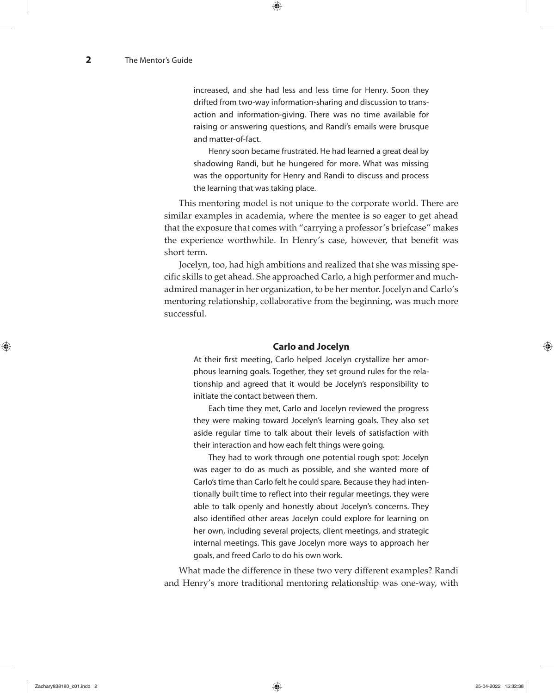increased, and she had less and less time for Henry. Soon they drifted from two-way information-sharing and discussion to transaction and information-giving. There was no time available for raising or answering questions, and Randi's emails were brusque and matter-of-fact.

⊕

Henry soon became frustrated. He had learned a great deal by shadowing Randi, but he hungered for more. What was missing was the opportunity for Henry and Randi to discuss and process the learning that was taking place.

This mentoring model is not unique to the corporate world. There are similar examples in academia, where the mentee is so eager to get ahead that the exposure that comes with "carrying a professor's briefcase" makes the experience worthwhile. In Henry's case, however, that benefit was short term.

Jocelyn, too, had high ambitions and realized that she was missing specific skills to get ahead. She approached Carlo, a high performer and muchadmired manager in her organization, to be her mentor. Jocelyn and Carlo's mentoring relationship, collaborative from the beginning, was much more successful.

#### **Carlo and Jocelyn**

At their first meeting, Carlo helped Jocelyn crystallize her amorphous learning goals. Together, they set ground rules for the relationship and agreed that it would be Jocelyn's responsibility to initiate the contact between them.

Each time they met, Carlo and Jocelyn reviewed the progress they were making toward Jocelyn's learning goals. They also set aside regular time to talk about their levels of satisfaction with their interaction and how each felt things were going.

They had to work through one potential rough spot: Jocelyn was eager to do as much as possible, and she wanted more of Carlo's time than Carlo felt he could spare. Because they had intentionally built time to reflect into their regular meetings, they were able to talk openly and honestly about Jocelyn's concerns. They also identified other areas Jocelyn could explore for learning on her own, including several projects, client meetings, and strategic internal meetings. This gave Jocelyn more ways to approach her goals, and freed Carlo to do his own work.

What made the difference in these two very different examples? Randi and Henry's more traditional mentoring relationship was one-way, with

⊕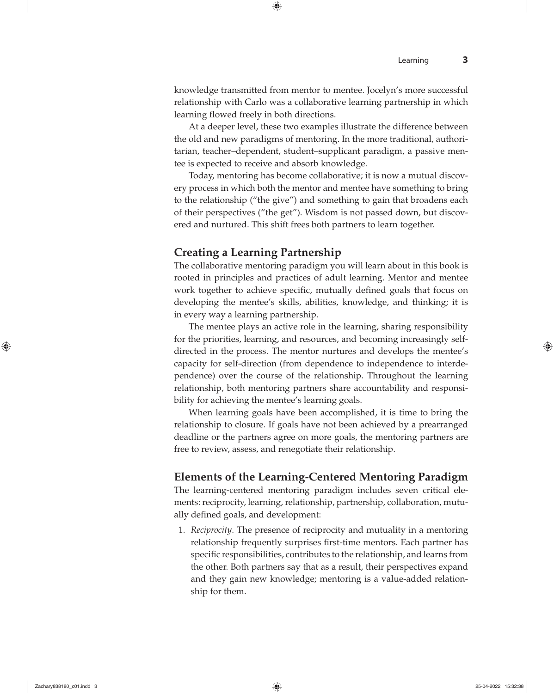knowledge transmitted from mentor to mentee. Jocelyn's more successful relationship with Carlo was a collaborative learning partnership in which learning flowed freely in both directions.

 $\bigcirc \hspace{-1.4mm} \bigcirc$ 

At a deeper level, these two examples illustrate the difference between the old and new paradigms of mentoring. In the more traditional, authoritarian, teacher–dependent, student–supplicant paradigm, a passive mentee is expected to receive and absorb knowledge.

Today, mentoring has become collaborative; it is now a mutual discovery process in which both the mentor and mentee have something to bring to the relationship ("the give") and something to gain that broadens each of their perspectives ("the get"). Wisdom is not passed down, but discovered and nurtured. This shift frees both partners to learn together.

# **Creating a Learning Partnership**

The collaborative mentoring paradigm you will learn about in this book is rooted in principles and practices of adult learning. Mentor and mentee work together to achieve specific, mutually defined goals that focus on developing the mentee's skills, abilities, knowledge, and thinking; it is in every way a learning partnership.

The mentee plays an active role in the learning, sharing responsibility for the priorities, learning, and resources, and becoming increasingly selfdirected in the process. The mentor nurtures and develops the mentee's capacity for self-direction (from dependence to independence to interdependence) over the course of the relationship. Throughout the learning relationship, both mentoring partners share accountability and responsibility for achieving the mentee's learning goals.

When learning goals have been accomplished, it is time to bring the relationship to closure. If goals have not been achieved by a prearranged deadline or the partners agree on more goals, the mentoring partners are free to review, assess, and renegotiate their relationship.

### **Elements of the Learning-Centered Mentoring Paradigm**

The learning-centered mentoring paradigm includes seven critical elements: reciprocity, learning, relationship, partnership, collaboration, mutually defined goals, and development:

1. *Reciprocity*. The presence of reciprocity and mutuality in a mentoring relationship frequently surprises first-time mentors. Each partner has specific responsibilities, contributes to the relationship, and learns from the other. Both partners say that as a result, their perspectives expand and they gain new knowledge; mentoring is a value-added relationship for them.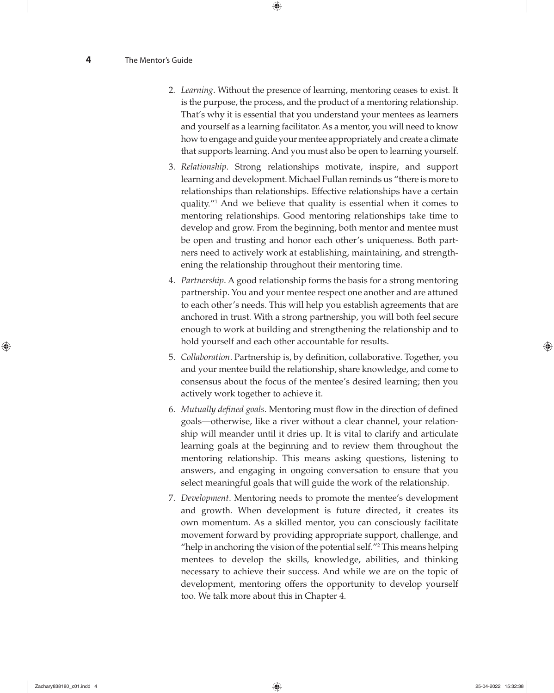2. *Learning*. Without the presence of learning, mentoring ceases to exist. It is the purpose, the process, and the product of a mentoring relationship. That's why it is essential that you understand your mentees as learners and yourself as a learning facilitator. As a mentor, you will need to know how to engage and guide your mentee appropriately and create a climate that supports learning. And you must also be open to learning yourself.

⊕

- 3. *Relationship*. Strong relationships motivate, inspire, and support learning and development. Michael Fullan reminds us "there is more to relationships than relationships. Effective relationships have a certain quality."1 And we believe that quality is essential when it comes to mentoring relationships. Good mentoring relationships take time to develop and grow. From the beginning, both mentor and mentee must be open and trusting and honor each other's uniqueness. Both partners need to actively work at establishing, maintaining, and strengthening the relationship throughout their mentoring time.
- 4. *Partnership*. A good relationship forms the basis for a strong mentoring partnership. You and your mentee respect one another and are attuned to each other's needs. This will help you establish agreements that are anchored in trust. With a strong partnership, you will both feel secure enough to work at building and strengthening the relationship and to hold yourself and each other accountable for results.
- 5. *Collaboration*. Partnership is, by definition, collaborative. Together, you and your mentee build the relationship, share knowledge, and come to consensus about the focus of the mentee's desired learning; then you actively work together to achieve it.
- 6. *Mutually defined goals*. Mentoring must flow in the direction of defined goals—otherwise, like a river without a clear channel, your relationship will meander until it dries up. It is vital to clarify and articulate learning goals at the beginning and to review them throughout the mentoring relationship. This means asking questions, listening to answers, and engaging in ongoing conversation to ensure that you select meaningful goals that will guide the work of the relationship.
- 7. *Development*. Mentoring needs to promote the mentee's development and growth. When development is future directed, it creates its own momentum. As a skilled mentor, you can consciously facilitate movement forward by providing appropriate support, challenge, and "help in anchoring the vision of the potential self."<sup>2</sup> This means helping mentees to develop the skills, knowledge, abilities, and thinking necessary to achieve their success. And while we are on the topic of development, mentoring offers the opportunity to develop yourself too. We talk more about this in Chapter 4.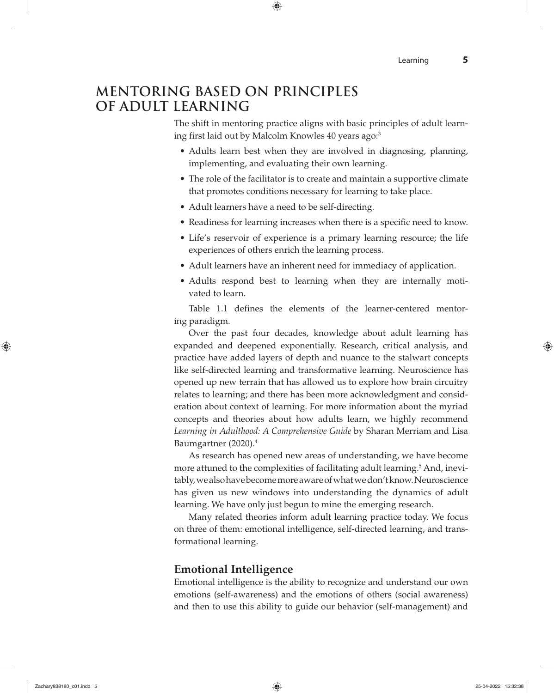# **MENTORING BASED ON PRINCIPLES OF ADULT LEARNING**

The shift in mentoring practice aligns with basic principles of adult learning first laid out by Malcolm Knowles 40 years ago:3

- Adults learn best when they are involved in diagnosing, planning, implementing, and evaluating their own learning.
- The role of the facilitator is to create and maintain a supportive climate that promotes conditions necessary for learning to take place.
- Adult learners have a need to be self-directing.

⊕

- Readiness for learning increases when there is a specific need to know.
- Life's reservoir of experience is a primary learning resource; the life experiences of others enrich the learning process.
- Adult learners have an inherent need for immediacy of application.
- Adults respond best to learning when they are internally motivated to learn.

Table 1.1 defines the elements of the learner-centered mentoring paradigm.

Over the past four decades, knowledge about adult learning has expanded and deepened exponentially. Research, critical analysis, and practice have added layers of depth and nuance to the stalwart concepts like self-directed learning and transformative learning. Neuroscience has opened up new terrain that has allowed us to explore how brain circuitry relates to learning; and there has been more acknowledgment and consideration about context of learning. For more information about the myriad concepts and theories about how adults learn, we highly recommend *Learning in Adulthood: A Comprehensive Guide* by Sharan Merriam and Lisa Baumgartner (2020).4

As research has opened new areas of understanding, we have become more attuned to the complexities of facilitating adult learning.<sup>5</sup> And, inevitably, we also have become more aware of what we don't know. Neuroscience has given us new windows into understanding the dynamics of adult learning. We have only just begun to mine the emerging research.

Many related theories inform adult learning practice today. We focus on three of them: emotional intelligence, self-directed learning, and transformational learning.

# **Emotional Intelligence**

Emotional intelligence is the ability to recognize and understand our own emotions (self-awareness) and the emotions of others (social awareness) and then to use this ability to guide our behavior (self-management) and

⊕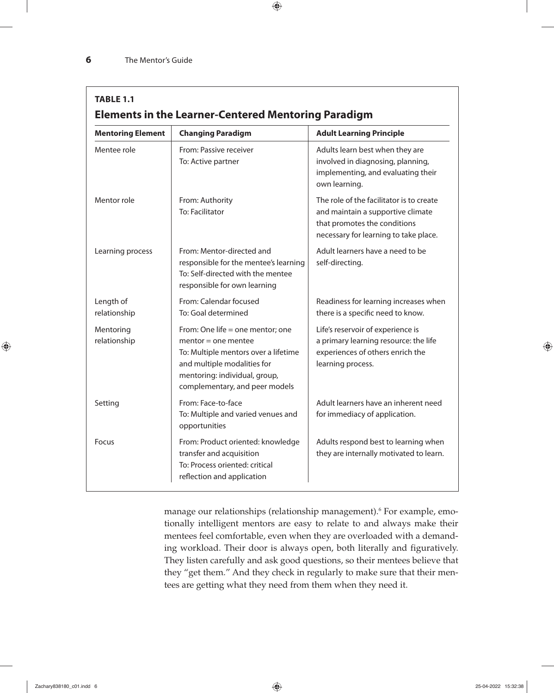| <b>TABLE 1.1</b><br><b>Elements in the Learner-Centered Mentoring Paradigm</b> |                                                                                                                                                                                                     |                                                                                                                                                        |  |  |
|--------------------------------------------------------------------------------|-----------------------------------------------------------------------------------------------------------------------------------------------------------------------------------------------------|--------------------------------------------------------------------------------------------------------------------------------------------------------|--|--|
| <b>Mentoring Element</b>                                                       | <b>Changing Paradigm</b>                                                                                                                                                                            | <b>Adult Learning Principle</b>                                                                                                                        |  |  |
| Mentee role                                                                    | From: Passive receiver<br>To: Active partner                                                                                                                                                        | Adults learn best when they are<br>involved in diagnosing, planning,<br>implementing, and evaluating their<br>own learning.                            |  |  |
| Mentor role                                                                    | From: Authority<br>To: Facilitator                                                                                                                                                                  | The role of the facilitator is to create<br>and maintain a supportive climate<br>that promotes the conditions<br>necessary for learning to take place. |  |  |
| Learning process                                                               | From: Mentor-directed and<br>responsible for the mentee's learning<br>To: Self-directed with the mentee<br>responsible for own learning                                                             | Adult learners have a need to be<br>self-directing.                                                                                                    |  |  |
| Length of<br>relationship                                                      | From: Calendar focused<br>To: Goal determined                                                                                                                                                       | Readiness for learning increases when<br>there is a specific need to know.                                                                             |  |  |
| Mentoring<br>relationship                                                      | From: One life = one mentor; one<br>$mentor = one$ mentee<br>To: Multiple mentors over a lifetime<br>and multiple modalities for<br>mentoring: individual, group,<br>complementary, and peer models | Life's reservoir of experience is<br>a primary learning resource: the life<br>experiences of others enrich the<br>learning process.                    |  |  |
| Setting                                                                        | From: Face-to-face<br>To: Multiple and varied venues and<br>opportunities                                                                                                                           | Adult learners have an inherent need<br>for immediacy of application.                                                                                  |  |  |
| Focus                                                                          | From: Product oriented: knowledge<br>transfer and acquisition<br>To: Process oriented: critical<br>reflection and application                                                                       | Adults respond best to learning when<br>they are internally motivated to learn.                                                                        |  |  |

manage our relationships (relationship management).<sup>6</sup> For example, emotionally intelligent mentors are easy to relate to and always make their mentees feel comfortable, even when they are overloaded with a demanding workload. Their door is always open, both literally and figuratively. They listen carefully and ask good questions, so their mentees believe that they "get them." And they check in regularly to make sure that their mentees are getting what they need from them when they need it.

Zachary838180\_c01.indd 6 25-04-2022 15:32:38

 $\bigoplus$ 

♠

 $\bigoplus$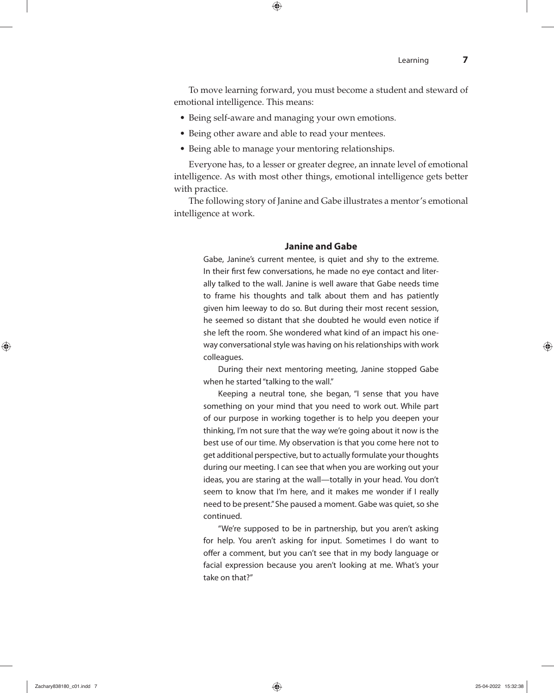#### Learning **7**

To move learning forward, you must become a student and steward of emotional intelligence. This means:

- Being self-aware and managing your own emotions.
- Being other aware and able to read your mentees.

 $\bigcirc$ 

• Being able to manage your mentoring relationships.

Everyone has, to a lesser or greater degree, an innate level of emotional intelligence. As with most other things, emotional intelligence gets better with practice.

The following story of Janine and Gabe illustrates a mentor's emotional intelligence at work.

#### **Janine and Gabe**

Gabe, Janine's current mentee, is quiet and shy to the extreme. In their first few conversations, he made no eye contact and literally talked to the wall. Janine is well aware that Gabe needs time to frame his thoughts and talk about them and has patiently given him leeway to do so. But during their most recent session, he seemed so distant that she doubted he would even notice if she left the room. She wondered what kind of an impact his oneway conversational style was having on his relationships with work colleagues.

During their next mentoring meeting, Janine stopped Gabe when he started "talking to the wall."

Keeping a neutral tone, she began, "I sense that you have something on your mind that you need to work out. While part of our purpose in working together is to help you deepen your thinking, I'm not sure that the way we're going about it now is the best use of our time. My observation is that you come here not to get additional perspective, but to actually formulate your thoughts during our meeting. I can see that when you are working out your ideas, you are staring at the wall—totally in your head. You don't seem to know that I'm here, and it makes me wonder if I really need to be present." She paused a moment. Gabe was quiet, so she continued.

"We're supposed to be in partnership, but you aren't asking for help. You aren't asking for input. Sometimes I do want to offer a comment, but you can't see that in my body language or facial expression because you aren't looking at me. What's your take on that?"

⊕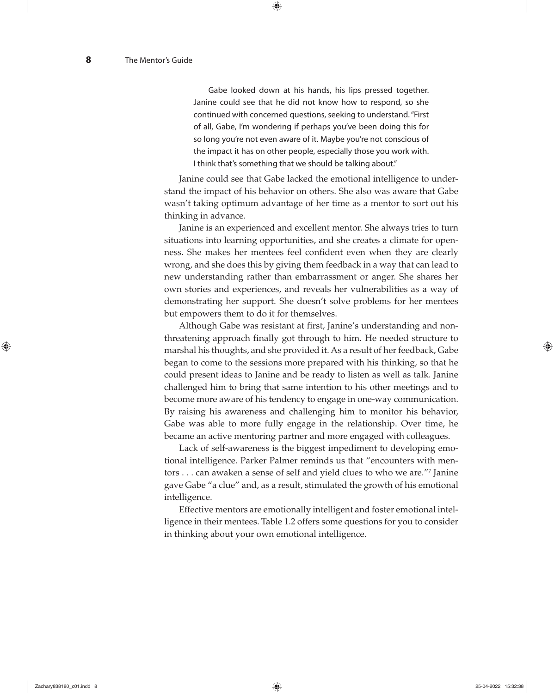Gabe looked down at his hands, his lips pressed together. Janine could see that he did not know how to respond, so she continued with concerned questions, seeking to understand. "First of all, Gabe, I'm wondering if perhaps you've been doing this for so long you're not even aware of it. Maybe you're not conscious of the impact it has on other people, especially those you work with. I think that's something that we should be talking about."

⊕

Janine could see that Gabe lacked the emotional intelligence to understand the impact of his behavior on others. She also was aware that Gabe wasn't taking optimum advantage of her time as a mentor to sort out his thinking in advance.

Janine is an experienced and excellent mentor. She always tries to turn situations into learning opportunities, and she creates a climate for openness. She makes her mentees feel confident even when they are clearly wrong, and she does this by giving them feedback in a way that can lead to new understanding rather than embarrassment or anger. She shares her own stories and experiences, and reveals her vulnerabilities as a way of demonstrating her support. She doesn't solve problems for her mentees but empowers them to do it for themselves.

Although Gabe was resistant at first, Janine's understanding and nonthreatening approach finally got through to him. He needed structure to marshal his thoughts, and she provided it. As a result of her feedback, Gabe began to come to the sessions more prepared with his thinking, so that he could present ideas to Janine and be ready to listen as well as talk. Janine challenged him to bring that same intention to his other meetings and to become more aware of his tendency to engage in one-way communication. By raising his awareness and challenging him to monitor his behavior, Gabe was able to more fully engage in the relationship. Over time, he became an active mentoring partner and more engaged with colleagues.

Lack of self-awareness is the biggest impediment to developing emotional intelligence. Parker Palmer reminds us that "encounters with mentors . . . can awaken a sense of self and yield clues to who we are."7 Janine gave Gabe "a clue" and, as a result, stimulated the growth of his emotional intelligence.

Effective mentors are emotionally intelligent and foster emotional intelligence in their mentees. Table 1.2 offers some questions for you to consider in thinking about your own emotional intelligence.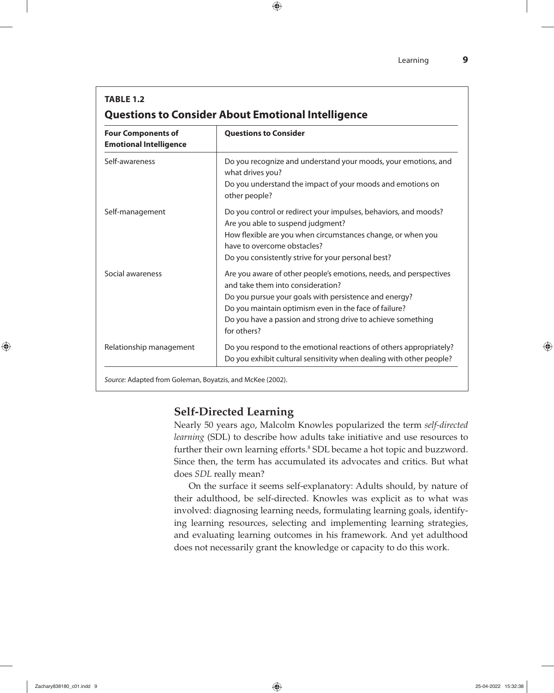# **TABLE 1.2 Questions to Consider About Emotional Intelligence**

| <b>Four Components of</b><br><b>Emotional Intelligence</b> | <b>Questions to Consider</b>                                                                                                                                                                                                                                                                           |
|------------------------------------------------------------|--------------------------------------------------------------------------------------------------------------------------------------------------------------------------------------------------------------------------------------------------------------------------------------------------------|
| Self-awareness                                             | Do you recognize and understand your moods, your emotions, and<br>what drives you?<br>Do you understand the impact of your moods and emotions on<br>other people?                                                                                                                                      |
| Self-management                                            | Do you control or redirect your impulses, behaviors, and moods?<br>Are you able to suspend judgment?<br>How flexible are you when circumstances change, or when you<br>have to overcome obstacles?<br>Do you consistently strive for your personal best?                                               |
| Social awareness                                           | Are you aware of other people's emotions, needs, and perspectives<br>and take them into consideration?<br>Do you pursue your goals with persistence and energy?<br>Do you maintain optimism even in the face of failure?<br>Do you have a passion and strong drive to achieve something<br>for others? |
| Relationship management                                    | Do you respond to the emotional reactions of others appropriately?<br>Do you exhibit cultural sensitivity when dealing with other people?                                                                                                                                                              |

 $\bigoplus$ 

*Source:* Adapted from Goleman, Boyatzis, and McKee (2002).

# **Self-Directed Learning**

Nearly 50 years ago, Malcolm Knowles popularized the term *self-directed learning* (SDL) to describe how adults take initiative and use resources to further their own learning efforts.<sup>8</sup> SDL became a hot topic and buzzword. Since then, the term has accumulated its advocates and critics. But what does *SDL* really mean?

On the surface it seems self-explanatory: Adults should, by nature of their adulthood, be self-directed. Knowles was explicit as to what was involved: diagnosing learning needs, formulating learning goals, identifying learning resources, selecting and implementing learning strategies, and evaluating learning outcomes in his framework. And yet adulthood does not necessarily grant the knowledge or capacity to do this work.

 $\bigcirc$ 

♠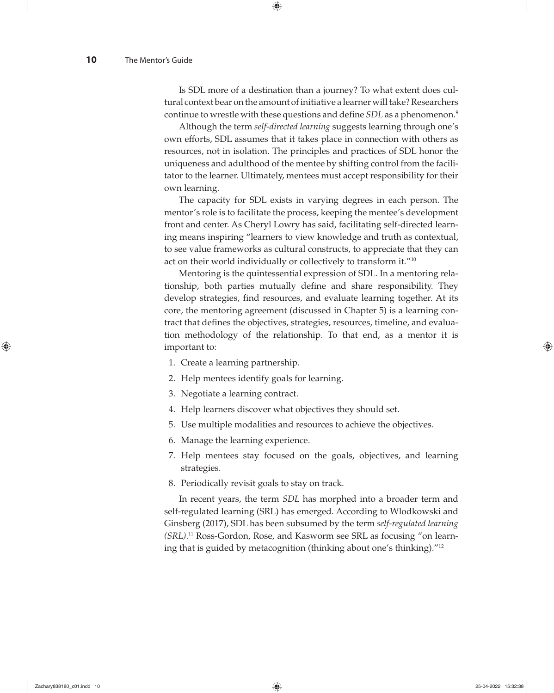Is SDL more of a destination than a journey? To what extent does cultural context bear on the amount of initiative a learner will take? Researchers continue to wrestle with these questions and define *SDL* as a phenomenon.9

⊕

Although the term *self-directed learning* suggests learning through one's own efforts, SDL assumes that it takes place in connection with others as resources, not in isolation. The principles and practices of SDL honor the uniqueness and adulthood of the mentee by shifting control from the facilitator to the learner. Ultimately, mentees must accept responsibility for their own learning.

The capacity for SDL exists in varying degrees in each person. The mentor's role is to facilitate the process, keeping the mentee's development front and center. As Cheryl Lowry has said, facilitating self-directed learning means inspiring "learners to view knowledge and truth as contextual, to see value frameworks as cultural constructs, to appreciate that they can act on their world individually or collectively to transform it."10

Mentoring is the quintessential expression of SDL. In a mentoring relationship, both parties mutually define and share responsibility. They develop strategies, find resources, and evaluate learning together. At its core, the mentoring agreement (discussed in Chapter 5) is a learning contract that defines the objectives, strategies, resources, timeline, and evaluation methodology of the relationship. To that end, as a mentor it is important to:

- 1. Create a learning partnership.
- 2. Help mentees identify goals for learning.
- 3. Negotiate a learning contract.
- 4. Help learners discover what objectives they should set.
- 5. Use multiple modalities and resources to achieve the objectives.
- 6. Manage the learning experience.
- 7. Help mentees stay focused on the goals, objectives, and learning strategies.
- 8. Periodically revisit goals to stay on track.

In recent years, the term *SDL* has morphed into a broader term and self-regulated learning (SRL) has emerged. According to Wlodkowski and Ginsberg (2017), SDL has been subsumed by the term *self-regulated learning (SRL)*. 11 Ross-Gordon, Rose, and Kasworm see SRL as focusing "on learning that is guided by metacognition (thinking about one's thinking)."12

⊕

⇔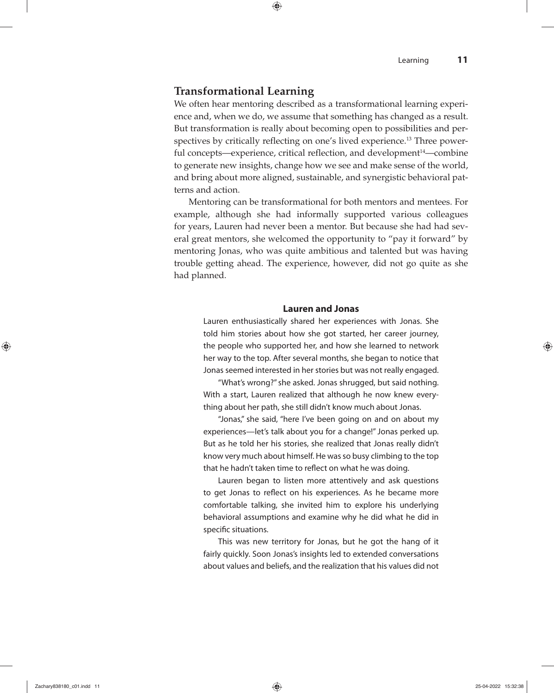# **Transformational Learning**

⊕

We often hear mentoring described as a transformational learning experience and, when we do, we assume that something has changed as a result. But transformation is really about becoming open to possibilities and perspectives by critically reflecting on one's lived experience.<sup>13</sup> Three powerful concepts—experience, critical reflection, and development $14$ —combine to generate new insights, change how we see and make sense of the world, and bring about more aligned, sustainable, and synergistic behavioral patterns and action.

Mentoring can be transformational for both mentors and mentees. For example, although she had informally supported various colleagues for years, Lauren had never been a mentor. But because she had had several great mentors, she welcomed the opportunity to "pay it forward" by mentoring Jonas, who was quite ambitious and talented but was having trouble getting ahead. The experience, however, did not go quite as she had planned.

#### **Lauren and Jonas**

Lauren enthusiastically shared her experiences with Jonas. She told him stories about how she got started, her career journey, the people who supported her, and how she learned to network her way to the top. After several months, she began to notice that Jonas seemed interested in her stories but was not really engaged.

"What's wrong?" she asked. Jonas shrugged, but said nothing. With a start, Lauren realized that although he now knew everything about her path, she still didn't know much about Jonas.

"Jonas," she said, "here I've been going on and on about my experiences—let's talk about you for a change!" Jonas perked up. But as he told her his stories, she realized that Jonas really didn't know very much about himself. He was so busy climbing to the top that he hadn't taken time to reflect on what he was doing.

Lauren began to listen more attentively and ask questions to get Jonas to reflect on his experiences. As he became more comfortable talking, she invited him to explore his underlying behavioral assumptions and examine why he did what he did in specific situations.

This was new territory for Jonas, but he got the hang of it fairly quickly. Soon Jonas's insights led to extended conversations about values and beliefs, and the realization that his values did not

⊕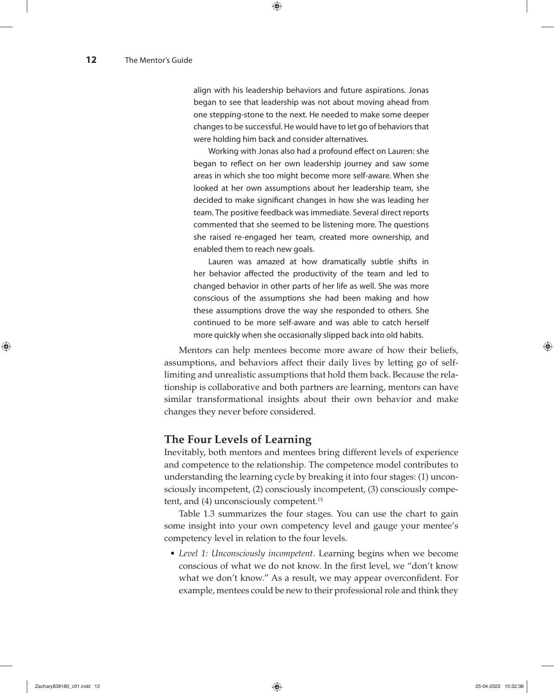align with his leadership behaviors and future aspirations. Jonas began to see that leadership was not about moving ahead from one stepping-stone to the next. He needed to make some deeper changes to be successful. He would have to let go of behaviors that were holding him back and consider alternatives.

⊕

Working with Jonas also had a profound effect on Lauren: she began to reflect on her own leadership journey and saw some areas in which she too might become more self-aware. When she looked at her own assumptions about her leadership team, she decided to make significant changes in how she was leading her team. The positive feedback was immediate. Several direct reports commented that she seemed to be listening more. The questions she raised re-engaged her team, created more ownership, and enabled them to reach new goals.

Lauren was amazed at how dramatically subtle shifts in her behavior affected the productivity of the team and led to changed behavior in other parts of her life as well. She was more conscious of the assumptions she had been making and how these assumptions drove the way she responded to others. She continued to be more self-aware and was able to catch herself more quickly when she occasionally slipped back into old habits.

Mentors can help mentees become more aware of how their beliefs, assumptions, and behaviors affect their daily lives by letting go of selflimiting and unrealistic assumptions that hold them back. Because the relationship is collaborative and both partners are learning, mentors can have similar transformational insights about their own behavior and make changes they never before considered.

### **The Four Levels of Learning**

Inevitably, both mentors and mentees bring different levels of experience and competence to the relationship. The competence model contributes to understanding the learning cycle by breaking it into four stages: (1) unconsciously incompetent, (2) consciously incompetent, (3) consciously competent, and  $(4)$  unconsciously competent.<sup>15</sup>

Table 1.3 summarizes the four stages. You can use the chart to gain some insight into your own competency level and gauge your mentee's competency level in relation to the four levels.

• *Level 1: Unconsciously incompetent*. Learning begins when we become conscious of what we do not know. In the first level, we "don't know what we don't know." As a result, we may appear overconfident. For example, mentees could be new to their professional role and think they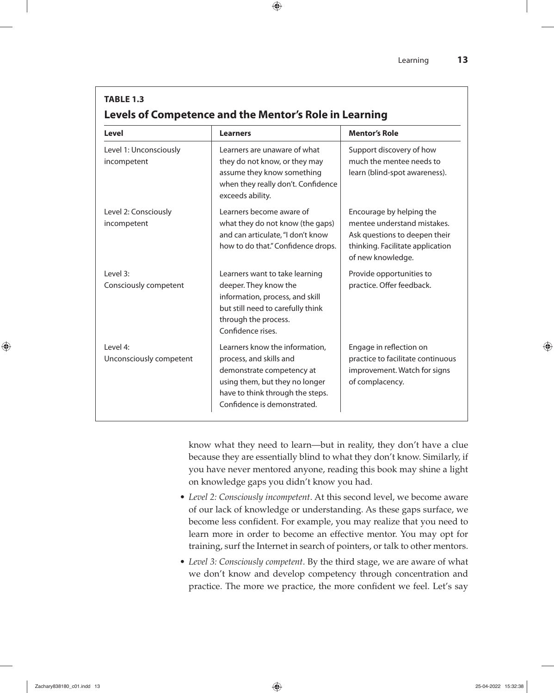| Level                                 | Learners                                                                                                                                                                                    | <b>Mentor's Role</b>                                                                                                                              |
|---------------------------------------|---------------------------------------------------------------------------------------------------------------------------------------------------------------------------------------------|---------------------------------------------------------------------------------------------------------------------------------------------------|
| Level 1: Unconsciously<br>incompetent | Learners are unaware of what<br>they do not know, or they may<br>assume they know something<br>when they really don't. Confidence<br>exceeds ability.                                       | Support discovery of how<br>much the mentee needs to<br>learn (blind-spot awareness).                                                             |
| Level 2: Consciously<br>incompetent   | Learners become aware of<br>what they do not know (the gaps)<br>and can articulate, "I don't know<br>how to do that." Confidence drops.                                                     | Encourage by helping the<br>mentee understand mistakes.<br>Ask questions to deepen their<br>thinking. Facilitate application<br>of new knowledge. |
| Level 3:<br>Consciously competent     | Learners want to take learning<br>deeper. They know the<br>information, process, and skill<br>but still need to carefully think<br>through the process.<br>Confidence rises.                | Provide opportunities to<br>practice. Offer feedback.                                                                                             |
| Level 4:<br>Unconsciously competent   | Learners know the information,<br>process, and skills and<br>demonstrate competency at<br>using them, but they no longer<br>have to think through the steps.<br>Confidence is demonstrated. | Engage in reflection on<br>practice to facilitate continuous<br>improvement. Watch for signs<br>of complacency.                                   |

 $\bigoplus$ 

know what they need to learn—but in reality, they don't have a clue because they are essentially blind to what they don't know. Similarly, if you have never mentored anyone, reading this book may shine a light on knowledge gaps you didn't know you had.

- *Level 2: Consciously incompetent*. At this second level, we become aware of our lack of knowledge or understanding. As these gaps surface, we become less confident. For example, you may realize that you need to learn more in order to become an effective mentor. You may opt for training, surf the Internet in search of pointers, or talk to other mentors.
- *Level 3: Consciously competent*. By the third stage, we are aware of what we don't know and develop competency through concentration and practice. The more we practice, the more confident we feel. Let's say

 $\bigcirc$ 

♠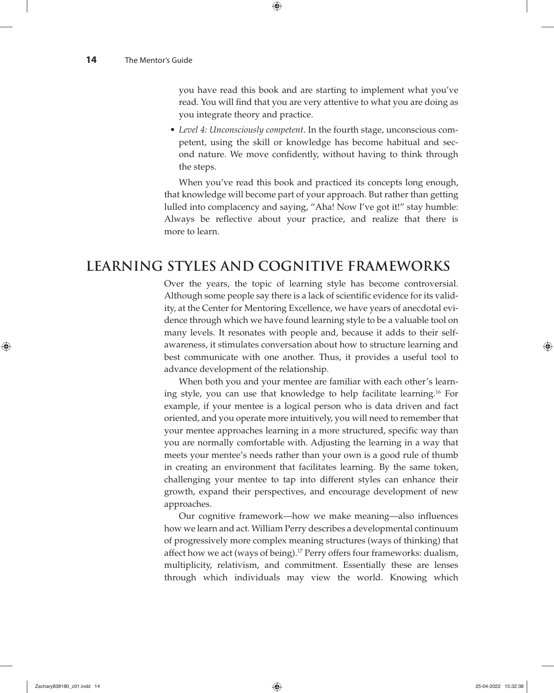you have read this book and are starting to implement what you've read. You will find that you are very attentive to what you are doing as you integrate theory and practice.

• *Level 4: Unconsciously competent*. In the fourth stage, unconscious competent, using the skill or knowledge has become habitual and second nature. We move confidently, without having to think through the steps.

When you've read this book and practiced its concepts long enough, that knowledge will become part of your approach. But rather than getting lulled into complacency and saying, "Aha! Now I've got it!" stay humble: Always be reflective about your practice, and realize that there is more to learn.

# **LEARNING STYLES AND COGNITIVE FRAMEWORKS**

⊕

Over the years, the topic of learning style has become controversial. Although some people say there is a lack of scientific evidence for its validity, at the Center for Mentoring Excellence, we have years of anecdotal evidence through which we have found learning style to be a valuable tool on many levels. It resonates with people and, because it adds to their selfawareness, it stimulates conversation about how to structure learning and best communicate with one another. Thus, it provides a useful tool to advance development of the relationship.

When both you and your mentee are familiar with each other's learning style, you can use that knowledge to help facilitate learning.16 For example, if your mentee is a logical person who is data driven and fact oriented, and you operate more intuitively, you will need to remember that your mentee approaches learning in a more structured, specific way than you are normally comfortable with. Adjusting the learning in a way that meets your mentee's needs rather than your own is a good rule of thumb in creating an environment that facilitates learning. By the same token, challenging your mentee to tap into different styles can enhance their growth, expand their perspectives, and encourage development of new approaches.

Our cognitive framework—how we make meaning—also influences how we learn and act. William Perry describes a developmental continuum of progressively more complex meaning structures (ways of thinking) that affect how we act (ways of being).<sup>17</sup> Perry offers four frameworks: dualism, multiplicity, relativism, and commitment. Essentially these are lenses through which individuals may view the world. Knowing which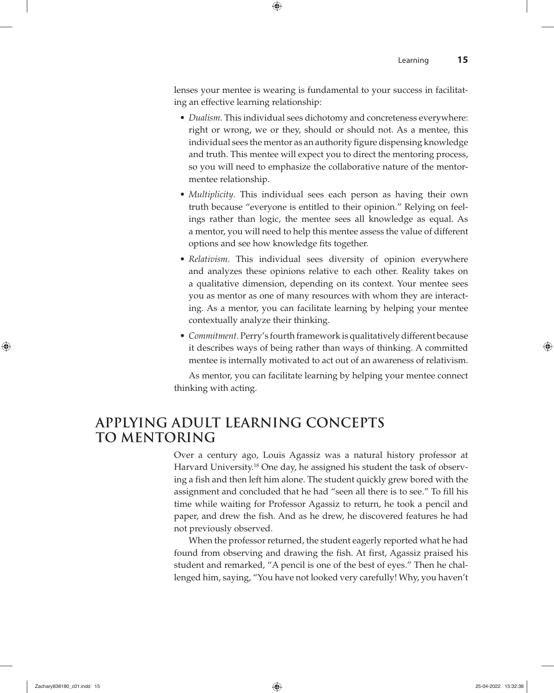lenses your mentee is wearing is fundamental to your success in facilitating an effective learning relationship:

 $\bigcirc$ 

- *Dualism*. This individual sees dichotomy and concreteness everywhere: right or wrong, we or they, should or should not. As a mentee, this individual sees the mentor as an authority figure dispensing knowledge and truth. This mentee will expect you to direct the mentoring process, so you will need to emphasize the collaborative nature of the mentormentee relationship.
- *Multiplicity*. This individual sees each person as having their own truth because "everyone is entitled to their opinion." Relying on feelings rather than logic, the mentee sees all knowledge as equal. As a mentor, you will need to help this mentee assess the value of different options and see how knowledge fits together.
- *Relativism*. This individual sees diversity of opinion everywhere and analyzes these opinions relative to each other. Reality takes on a qualitative dimension, depending on its context. Your mentee sees you as mentor as one of many resources with whom they are interacting. As a mentor, you can facilitate learning by helping your mentee contextually analyze their thinking.
- *Commitment*. Perry's fourth framework is qualitatively different because it describes ways of being rather than ways of thinking. A committed mentee is internally motivated to act out of an awareness of relativism.

As mentor, you can facilitate learning by helping your mentee connect thinking with acting.

# **APPLYING ADULT LEARNING CONCEPTS TO MENTORING**

Over a century ago, Louis Agassiz was a natural history professor at Harvard University.<sup>18</sup> One day, he assigned his student the task of observing a fish and then left him alone. The student quickly grew bored with the assignment and concluded that he had "seen all there is to see." To fill his time while waiting for Professor Agassiz to return, he took a pencil and paper, and drew the fish. And as he drew, he discovered features he had not previously observed.

When the professor returned, the student eagerly reported what he had found from observing and drawing the fish. At first, Agassiz praised his student and remarked, "A pencil is one of the best of eyes." Then he challenged him, saying, "You have not looked very carefully! Why, you haven't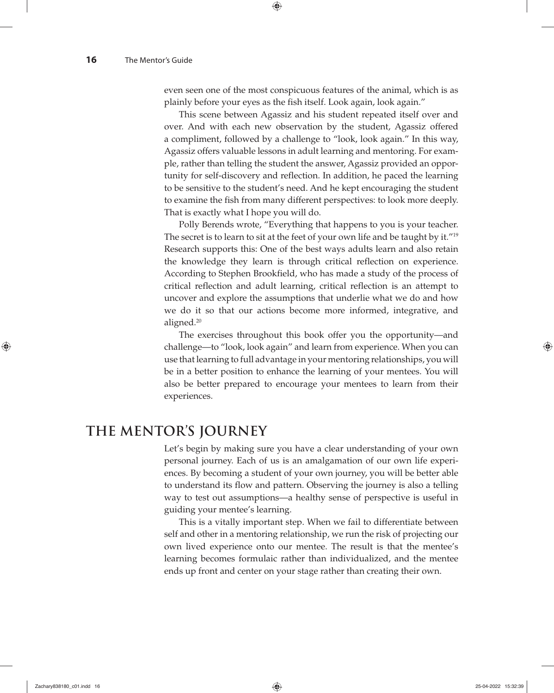even seen one of the most conspicuous features of the animal, which is as plainly before your eyes as the fish itself. Look again, look again."

⊕

This scene between Agassiz and his student repeated itself over and over. And with each new observation by the student, Agassiz offered a compliment, followed by a challenge to "look, look again." In this way, Agassiz offers valuable lessons in adult learning and mentoring. For example, rather than telling the student the answer, Agassiz provided an opportunity for self-discovery and reflection. In addition, he paced the learning to be sensitive to the student's need. And he kept encouraging the student to examine the fish from many different perspectives: to look more deeply. That is exactly what I hope you will do.

Polly Berends wrote, "Everything that happens to you is your teacher. The secret is to learn to sit at the feet of your own life and be taught by it.<sup>"19</sup> Research supports this: One of the best ways adults learn and also retain the knowledge they learn is through critical reflection on experience. According to Stephen Brookfield, who has made a study of the process of critical reflection and adult learning, critical reflection is an attempt to uncover and explore the assumptions that underlie what we do and how we do it so that our actions become more informed, integrative, and aligned.20

The exercises throughout this book offer you the opportunity—and challenge—to "look, look again" and learn from experience. When you can use that learning to full advantage in your mentoring relationships, you will be in a better position to enhance the learning of your mentees. You will also be better prepared to encourage your mentees to learn from their experiences.

# **THE MENTOR'S JOURNEY**

Let's begin by making sure you have a clear understanding of your own personal journey. Each of us is an amalgamation of our own life experiences. By becoming a student of your own journey, you will be better able to understand its flow and pattern. Observing the journey is also a telling way to test out assumptions—a healthy sense of perspective is useful in guiding your mentee's learning.

This is a vitally important step. When we fail to differentiate between self and other in a mentoring relationship, we run the risk of projecting our own lived experience onto our mentee. The result is that the mentee's learning becomes formulaic rather than individualized, and the mentee ends up front and center on your stage rather than creating their own.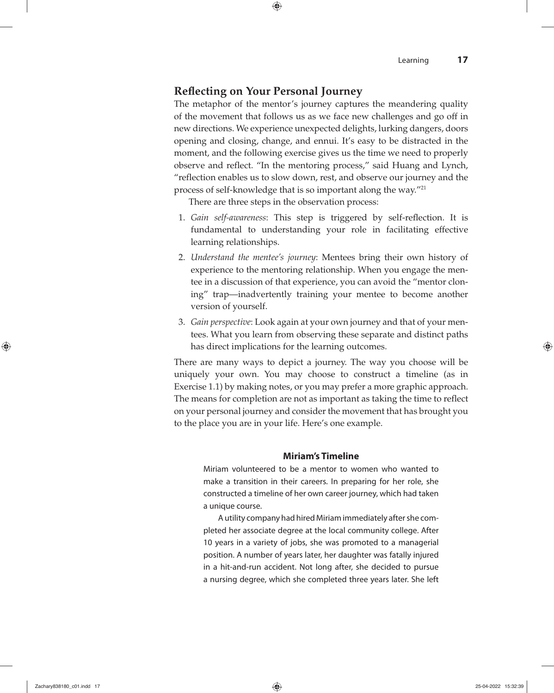# **Reflecting on Your Personal Journey**

⊕

The metaphor of the mentor's journey captures the meandering quality of the movement that follows us as we face new challenges and go off in new directions. We experience unexpected delights, lurking dangers, doors opening and closing, change, and ennui. It's easy to be distracted in the moment, and the following exercise gives us the time we need to properly observe and reflect. "In the mentoring process," said Huang and Lynch, "reflection enables us to slow down, rest, and observe our journey and the process of self-knowledge that is so important along the way."21

There are three steps in the observation process:

- 1. *Gain self-awareness*: This step is triggered by self-reflection. It is fundamental to understanding your role in facilitating effective learning relationships.
- 2. *Understand the mentee's journey*: Mentees bring their own history of experience to the mentoring relationship. When you engage the mentee in a discussion of that experience, you can avoid the "mentor cloning" trap—inadvertently training your mentee to become another version of yourself.
- 3. *Gain perspective*: Look again at your own journey and that of your mentees. What you learn from observing these separate and distinct paths has direct implications for the learning outcomes.

There are many ways to depict a journey. The way you choose will be uniquely your own. You may choose to construct a timeline (as in Exercise 1.1) by making notes, or you may prefer a more graphic approach. The means for completion are not as important as taking the time to reflect on your personal journey and consider the movement that has brought you to the place you are in your life. Here's one example.

#### **Miriam's Timeline**

Miriam volunteered to be a mentor to women who wanted to make a transition in their careers. In preparing for her role, she constructed a timeline of her own career journey, which had taken a unique course.

A utility company had hired Miriam immediately after she completed her associate degree at the local community college. After 10 years in a variety of jobs, she was promoted to a managerial position. A number of years later, her daughter was fatally injured in a hit-and-run accident. Not long after, she decided to pursue a nursing degree, which she completed three years later. She left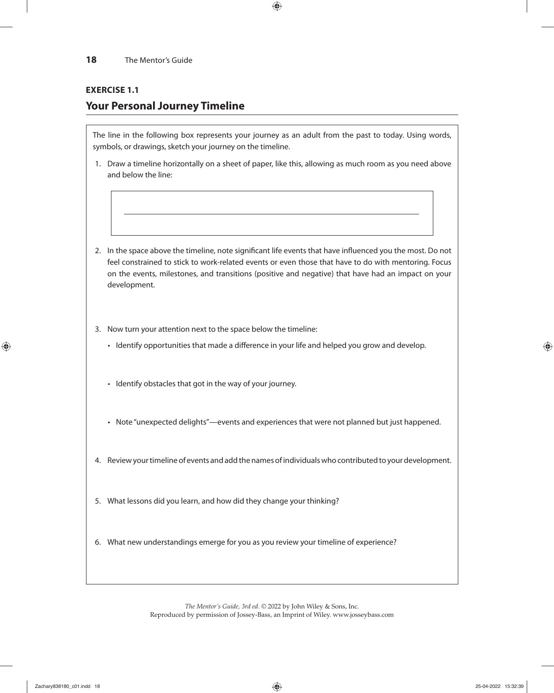### **EXERCISE 1.1**

### **Your Personal Journey Timeline**

The line in the following box represents your journey as an adult from the past to today. Using words, symbols, or drawings, sketch your journey on the timeline.

 $\bigcirc$ 

- 1. Draw a timeline horizontally on a sheet of paper, like this, allowing as much room as you need above and below the line:
- 2. In the space above the timeline, note significant life events that have influenced you the most. Do not feel constrained to stick to work-related events or even those that have to do with mentoring. Focus on the events, milestones, and transitions (positive and negative) that have had an impact on your development.
- 3. Now turn your attention next to the space below the timeline:
	- Identify opportunities that made a difference in your life and helped you grow and develop.
	- Identify obstacles that got in the way of your journey.
	- Note "unexpected delights"—events and experiences that were not planned but just happened.
- 4. Review your timeline of events and add the names of individuals who contributed to your development.
- 5. What lessons did you learn, and how did they change your thinking?

6. What new understandings emerge for you as you review your timeline of experience?

*The Mentor's Guide, 3rd ed*. © 2022 by John Wiley & Sons, Inc. Reproduced by permission of Jossey-Bass, an Imprint of Wiley. www.josseybass.com

⊕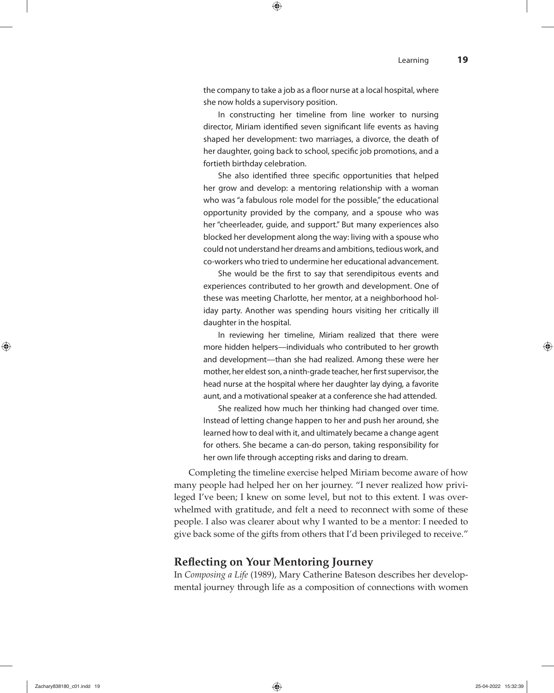the company to take a job as a floor nurse at a local hospital, where she now holds a supervisory position.

⊕

In constructing her timeline from line worker to nursing director, Miriam identified seven significant life events as having shaped her development: two marriages, a divorce, the death of her daughter, going back to school, specific job promotions, and a fortieth birthday celebration.

She also identified three specific opportunities that helped her grow and develop: a mentoring relationship with a woman who was "a fabulous role model for the possible," the educational opportunity provided by the company, and a spouse who was her "cheerleader, guide, and support." But many experiences also blocked her development along the way: living with a spouse who could not understand her dreams and ambitions, tedious work, and co-workers who tried to undermine her educational advancement.

She would be the first to say that serendipitous events and experiences contributed to her growth and development. One of these was meeting Charlotte, her mentor, at a neighborhood holiday party. Another was spending hours visiting her critically ill daughter in the hospital.

In reviewing her timeline, Miriam realized that there were more hidden helpers—individuals who contributed to her growth and development—than she had realized. Among these were her mother, her eldest son, a ninth-grade teacher, her first supervisor, the head nurse at the hospital where her daughter lay dying, a favorite aunt, and a motivational speaker at a conference she had attended.

She realized how much her thinking had changed over time. Instead of letting change happen to her and push her around, she learned how to deal with it, and ultimately became a change agent for others. She became a can-do person, taking responsibility for her own life through accepting risks and daring to dream.

Completing the timeline exercise helped Miriam become aware of how many people had helped her on her journey. "I never realized how privileged I've been; I knew on some level, but not to this extent. I was overwhelmed with gratitude, and felt a need to reconnect with some of these people. I also was clearer about why I wanted to be a mentor: I needed to give back some of the gifts from others that I'd been privileged to receive."

# **Reflecting on Your Mentoring Journey**

In *Composing a Life* (1989), Mary Catherine Bateson describes her developmental journey through life as a composition of connections with women

⊕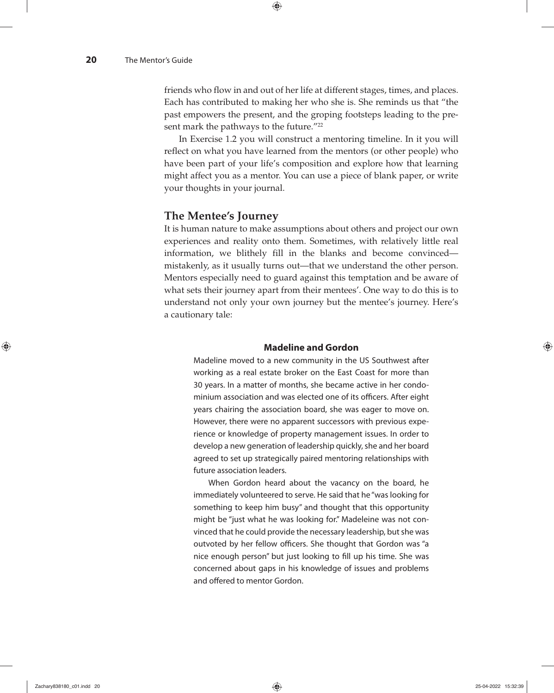friends who flow in and out of her life at different stages, times, and places. Each has contributed to making her who she is. She reminds us that "the past empowers the present, and the groping footsteps leading to the present mark the pathways to the future."<sup>22</sup>

⊕

In Exercise 1.2 you will construct a mentoring timeline. In it you will reflect on what you have learned from the mentors (or other people) who have been part of your life's composition and explore how that learning might affect you as a mentor. You can use a piece of blank paper, or write your thoughts in your journal.

### **The Mentee's Journey**

It is human nature to make assumptions about others and project our own experiences and reality onto them. Sometimes, with relatively little real information, we blithely fill in the blanks and become convinced mistakenly, as it usually turns out—that we understand the other person. Mentors especially need to guard against this temptation and be aware of what sets their journey apart from their mentees'. One way to do this is to understand not only your own journey but the mentee's journey. Here's a cautionary tale:

#### **Madeline and Gordon**

Madeline moved to a new community in the US Southwest after working as a real estate broker on the East Coast for more than 30 years. In a matter of months, she became active in her condominium association and was elected one of its officers. After eight years chairing the association board, she was eager to move on. However, there were no apparent successors with previous experience or knowledge of property management issues. In order to develop a new generation of leadership quickly, she and her board agreed to set up strategically paired mentoring relationships with future association leaders.

When Gordon heard about the vacancy on the board, he immediately volunteered to serve. He said that he "was looking for something to keep him busy" and thought that this opportunity might be "just what he was looking for." Madeleine was not convinced that he could provide the necessary leadership, but she was outvoted by her fellow officers. She thought that Gordon was "a nice enough person" but just looking to fill up his time. She was concerned about gaps in his knowledge of issues and problems and offered to mentor Gordon.

⊕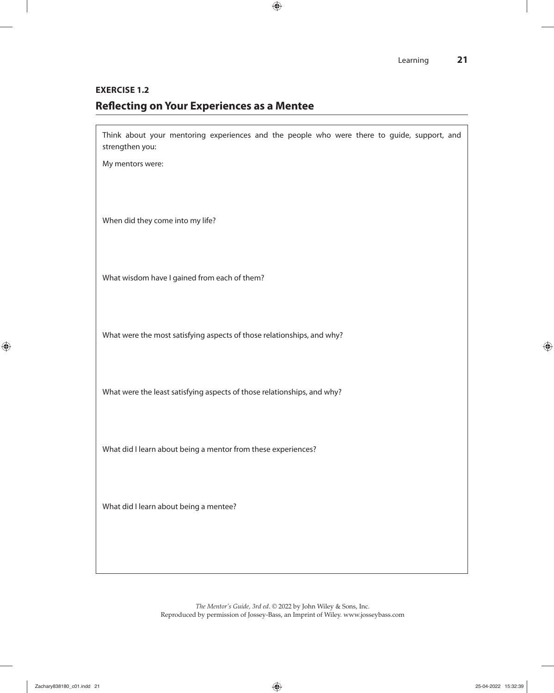# **EXERCISE 1.2 Reflecting on Your Experiences as a Mentee**

Think about your mentoring experiences and the people who were there to guide, support, and strengthen you:

 $\bigoplus$ 

My mentors were:

When did they come into my life?

What wisdom have I gained from each of them?

What were the most satisfying aspects of those relationships, and why?

What were the least satisfying aspects of those relationships, and why?

What did I learn about being a mentor from these experiences?

What did I learn about being a mentee?

*The Mentor's Guide, 3rd ed*. © 2022 by John Wiley & Sons, Inc. Reproduced by permission of Jossey-Bass, an Imprint of Wiley. www.josseybass.com

 $\bigoplus$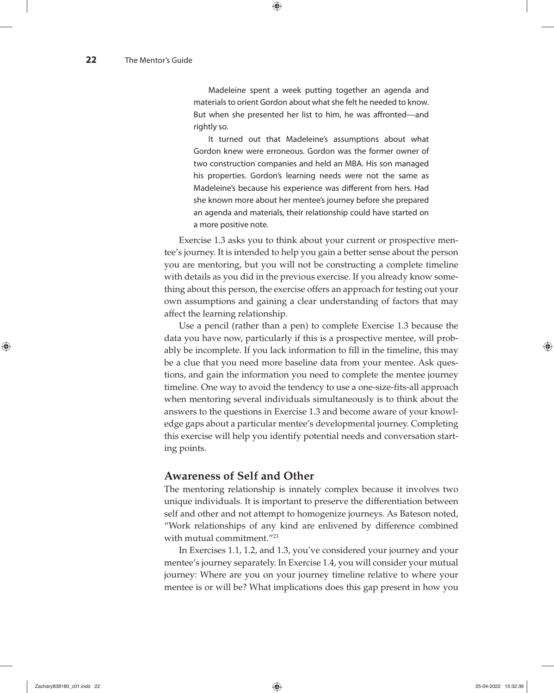Madeleine spent a week putting together an agenda and materials to orient Gordon about what she felt he needed to know. But when she presented her list to him, he was affronted—and rightly so.

⊕

It turned out that Madeleine's assumptions about what Gordon knew were erroneous. Gordon was the former owner of two construction companies and held an MBA. His son managed his properties. Gordon's learning needs were not the same as Madeleine's because his experience was different from hers. Had she known more about her mentee's journey before she prepared an agenda and materials, their relationship could have started on a more positive note.

Exercise 1.3 asks you to think about your current or prospective mentee's journey. It is intended to help you gain a better sense about the person you are mentoring, but you will not be constructing a complete timeline with details as you did in the previous exercise. If you already know something about this person, the exercise offers an approach for testing out your own assumptions and gaining a clear understanding of factors that may affect the learning relationship.

Use a pencil (rather than a pen) to complete Exercise 1.3 because the data you have now, particularly if this is a prospective mentee, will probably be incomplete. If you lack information to fill in the timeline, this may be a clue that you need more baseline data from your mentee. Ask questions, and gain the information you need to complete the mentee journey timeline. One way to avoid the tendency to use a one-size-fits-all approach when mentoring several individuals simultaneously is to think about the answers to the questions in Exercise 1.3 and become aware of your knowledge gaps about a particular mentee's developmental journey. Completing this exercise will help you identify potential needs and conversation starting points.

# **Awareness of Self and Other**

The mentoring relationship is innately complex because it involves two unique individuals. It is important to preserve the differentiation between self and other and not attempt to homogenize journeys. As Bateson noted, "Work relationships of any kind are enlivened by difference combined with mutual commitment."<sup>23</sup>

In Exercises 1.1, 1.2, and 1.3, you've considered your journey and your mentee's journey separately. In Exercise 1.4, you will consider your mutual journey: Where are you on your journey timeline relative to where your mentee is or will be? What implications does this gap present in how you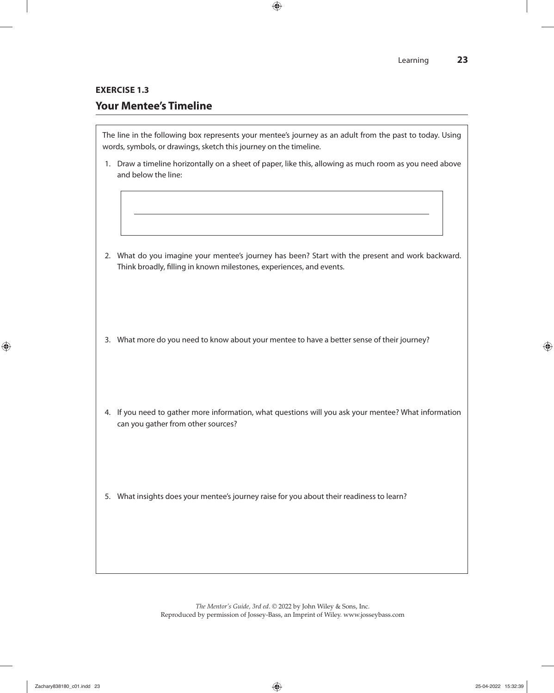### **EXERCISE 1.3**

# **Your Mentee's Timeline**

The line in the following box represents your mentee's journey as an adult from the past to today. Using words, symbols, or drawings, sketch this journey on the timeline.

 $\bigoplus$ 

1. Draw a timeline horizontally on a sheet of paper, like this, allowing as much room as you need above and below the line:

- 2. What do you imagine your mentee's journey has been? Start with the present and work backward. Think broadly, filling in known milestones, experiences, and events.
- 3. What more do you need to know about your mentee to have a better sense of their journey?
- 4. If you need to gather more information, what questions will you ask your mentee? What information can you gather from other sources?

5. What insights does your mentee's journey raise for you about their readiness to learn?

*The Mentor's Guide, 3rd ed*. © 2022 by John Wiley & Sons, Inc. Reproduced by permission of Jossey-Bass, an Imprint of Wiley. www.josseybass.com

 $\bigcirc$ 

♠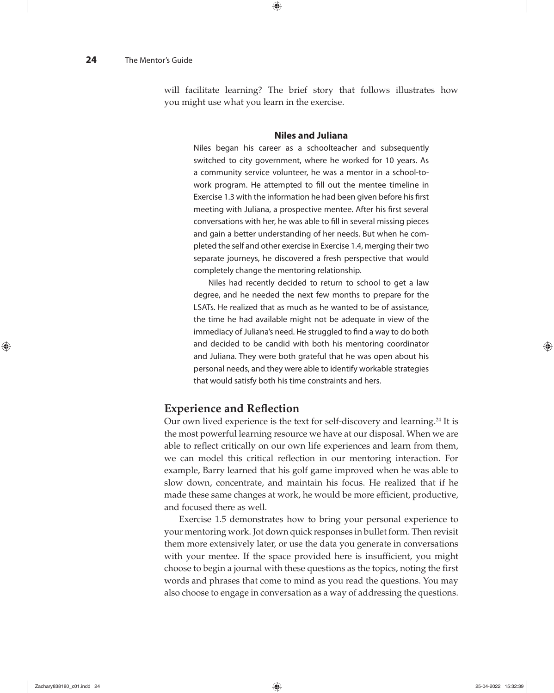⊕

will facilitate learning? The brief story that follows illustrates how you might use what you learn in the exercise.

#### **Niles and Juliana**

Niles began his career as a schoolteacher and subsequently switched to city government, where he worked for 10 years. As a community service volunteer, he was a mentor in a school-towork program. He attempted to fill out the mentee timeline in Exercise 1.3 with the information he had been given before his first meeting with Juliana, a prospective mentee. After his first several conversations with her, he was able to fill in several missing pieces and gain a better understanding of her needs. But when he completed the self and other exercise in Exercise 1.4, merging their two separate journeys, he discovered a fresh perspective that would completely change the mentoring relationship.

Niles had recently decided to return to school to get a law degree, and he needed the next few months to prepare for the LSATs. He realized that as much as he wanted to be of assistance, the time he had available might not be adequate in view of the immediacy of Juliana's need. He struggled to find a way to do both and decided to be candid with both his mentoring coordinator and Juliana. They were both grateful that he was open about his personal needs, and they were able to identify workable strategies that would satisfy both his time constraints and hers.

### **Experience and Reflection**

Our own lived experience is the text for self-discovery and learning.<sup>24</sup> It is the most powerful learning resource we have at our disposal. When we are able to reflect critically on our own life experiences and learn from them, we can model this critical reflection in our mentoring interaction. For example, Barry learned that his golf game improved when he was able to slow down, concentrate, and maintain his focus. He realized that if he made these same changes at work, he would be more efficient, productive, and focused there as well.

Exercise 1.5 demonstrates how to bring your personal experience to your mentoring work. Jot down quick responses in bullet form. Then revisit them more extensively later, or use the data you generate in conversations with your mentee. If the space provided here is insufficient, you might choose to begin a journal with these questions as the topics, noting the first words and phrases that come to mind as you read the questions. You may also choose to engage in conversation as a way of addressing the questions.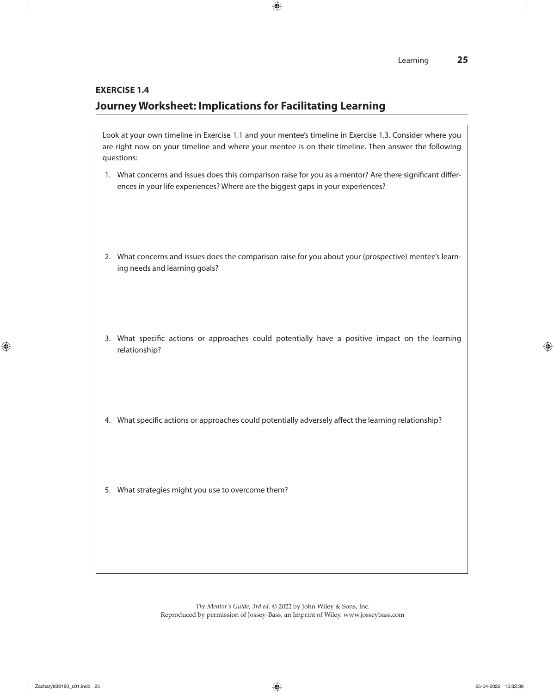# **EXERCISE 1.4 Journey Worksheet: Implications for Facilitating Learning**

Look at your own timeline in Exercise 1.1 and your mentee's timeline in Exercise 1.3. Consider where you are right now on your timeline and where your mentee is on their timeline. Then answer the following questions:

 $\bigoplus$ 

- 1. What concerns and issues does this comparison raise for you as a mentor? Are there significant differences in your life experiences? Where are the biggest gaps in your experiences?
- 2. What concerns and issues does the comparison raise for you about your (prospective) mentee's learning needs and learning goals?
- 3. What specific actions or approaches could potentially have a positive impact on the learning relationship?
- 4. What specific actions or approaches could potentially adversely affect the learning relationship?
- 5. What strategies might you use to overcome them?

*The Mentor's Guide, 3rd ed*. © 2022 by John Wiley & Sons, Inc. Reproduced by permission of Jossey-Bass, an Imprint of Wiley. www.josseybass.com

◈

♠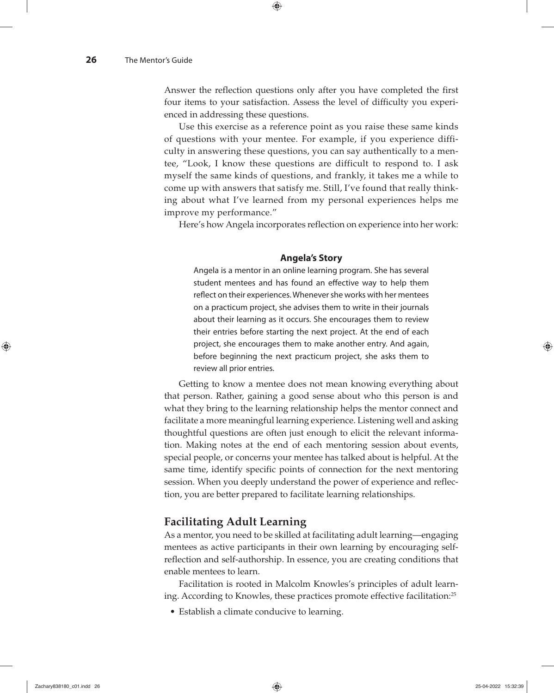Answer the reflection questions only after you have completed the first four items to your satisfaction. Assess the level of difficulty you experienced in addressing these questions.

⊕

Use this exercise as a reference point as you raise these same kinds of questions with your mentee. For example, if you experience difficulty in answering these questions, you can say authentically to a mentee, "Look, I know these questions are difficult to respond to. I ask myself the same kinds of questions, and frankly, it takes me a while to come up with answers that satisfy me. Still, I've found that really thinking about what I've learned from my personal experiences helps me improve my performance."

Here's how Angela incorporates reflection on experience into her work:

#### **Angela's Story**

Angela is a mentor in an online learning program. She has several student mentees and has found an effective way to help them reflect on their experiences. Whenever she works with her mentees on a practicum project, she advises them to write in their journals about their learning as it occurs. She encourages them to review their entries before starting the next project. At the end of each project, she encourages them to make another entry. And again, before beginning the next practicum project, she asks them to review all prior entries.

Getting to know a mentee does not mean knowing everything about that person. Rather, gaining a good sense about who this person is and what they bring to the learning relationship helps the mentor connect and facilitate a more meaningful learning experience. Listening well and asking thoughtful questions are often just enough to elicit the relevant information. Making notes at the end of each mentoring session about events, special people, or concerns your mentee has talked about is helpful. At the same time, identify specific points of connection for the next mentoring session. When you deeply understand the power of experience and reflection, you are better prepared to facilitate learning relationships.

# **Facilitating Adult Learning**

As a mentor, you need to be skilled at facilitating adult learning—engaging mentees as active participants in their own learning by encouraging selfreflection and self-authorship. In essence, you are creating conditions that enable mentees to learn.

Facilitation is rooted in Malcolm Knowles's principles of adult learning. According to Knowles, these practices promote effective facilitation:25

• Establish a climate conducive to learning.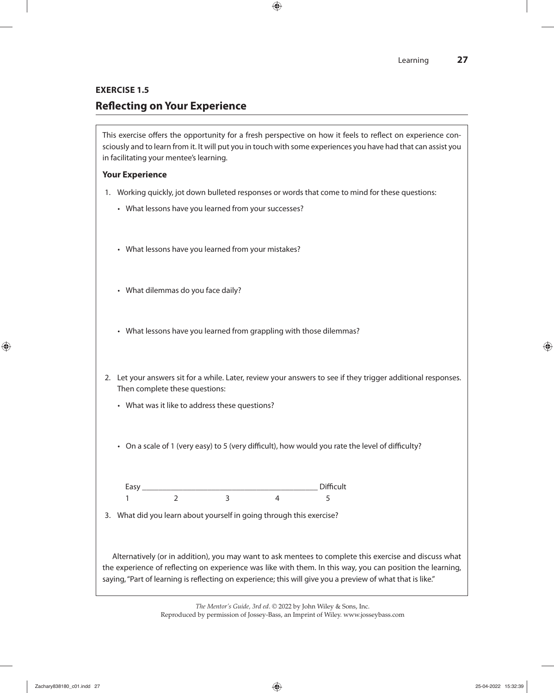#### **EXERCISE 1.5**

# **Reflecting on Your Experience**

This exercise offers the opportunity for a fresh perspective on how it feels to reflect on experience consciously and to learn from it. It will put you in touch with some experiences you have had that can assist you in facilitating your mentee's learning.

 $\bigoplus$ 

#### **Your Experience**

- 1. Working quickly, jot down bulleted responses or words that come to mind for these questions:
	- What lessons have you learned from your successes?
	- What lessons have you learned from your mistakes?
	- What dilemmas do you face daily?
	- What lessons have you learned from grappling with those dilemmas?
- 2. Let your answers sit for a while. Later, review your answers to see if they trigger additional responses. Then complete these questions:
	- What was it like to address these questions?
	- On a scale of 1 (very easy) to 5 (very difficult), how would you rate the level of difficulty?

Easy **Example 20** Easy **Example 20** Easy **Example 20** Easy **Example 20** Easy **Example 20** Easy **Example 20** Easy **Example 20** 1 2 3 4 5

3. What did you learn about yourself in going through this exercise?

Alternatively (or in addition), you may want to ask mentees to complete this exercise and discuss what the experience of reflecting on experience was like with them. In this way, you can position the learning, saying, "Part of learning is reflecting on experience; this will give you a preview of what that is like."

*The Mentor's Guide, 3rd ed*. © 2022 by John Wiley & Sons, Inc.

Reproduced by permission of Jossey-Bass, an Imprint of Wiley. www.josseybass.com

⊕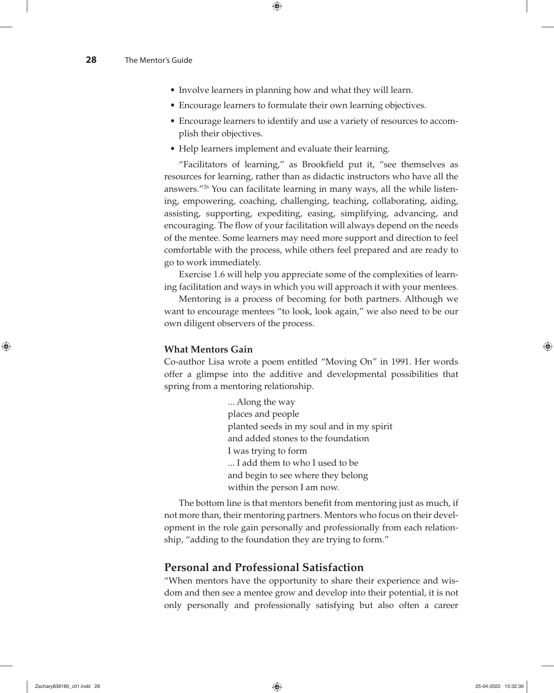• Involve learners in planning how and what they will learn.

⊕

- Encourage learners to formulate their own learning objectives.
- Encourage learners to identify and use a variety of resources to accomplish their objectives.
- Help learners implement and evaluate their learning.

"Facilitators of learning," as Brookfield put it, "see themselves as resources for learning, rather than as didactic instructors who have all the answers."26 You can facilitate learning in many ways, all the while listening, empowering, coaching, challenging, teaching, collaborating, aiding, assisting, supporting, expediting, easing, simplifying, advancing, and encouraging. The flow of your facilitation will always depend on the needs of the mentee. Some learners may need more support and direction to feel comfortable with the process, while others feel prepared and are ready to go to work immediately.

Exercise 1.6 will help you appreciate some of the complexities of learning facilitation and ways in which you will approach it with your mentees.

Mentoring is a process of becoming for both partners. Although we want to encourage mentees "to look, look again," we also need to be our own diligent observers of the process.

#### **What Mentors Gain**

Co-author Lisa wrote a poem entitled "Moving On" in 1991. Her words offer a glimpse into the additive and developmental possibilities that spring from a mentoring relationship.

> ... Along the way places and people planted seeds in my soul and in my spirit and added stones to the foundation I was trying to form ... I add them to who I used to be and begin to see where they belong within the person I am now.

The bottom line is that mentors benefit from mentoring just as much, if not more than, their mentoring partners. Mentors who focus on their development in the role gain personally and professionally from each relationship, "adding to the foundation they are trying to form."

### **Personal and Professional Satisfaction**

"When mentors have the opportunity to share their experience and wisdom and then see a mentee grow and develop into their potential, it is not only personally and professionally satisfying but also often a career

⊕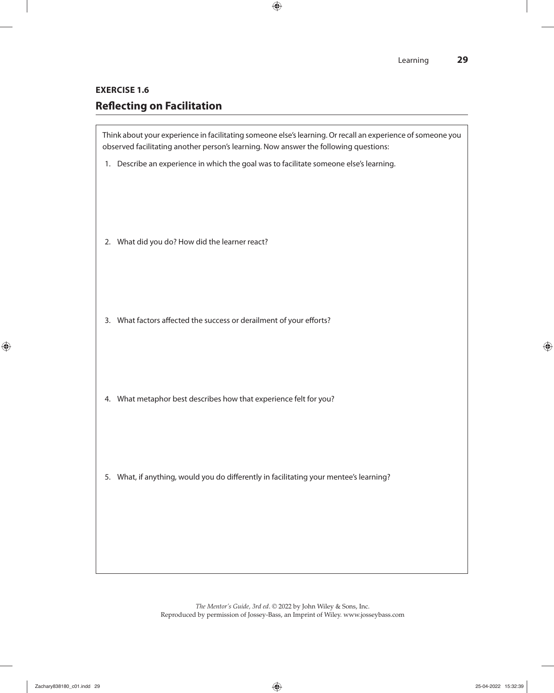# **EXERCISE 1.6 Reflecting on Facilitation**

Think about your experience in facilitating someone else's learning. Or recall an experience of someone you observed facilitating another person's learning. Now answer the following questions:

 $\bigoplus$ 

1. Describe an experience in which the goal was to facilitate someone else's learning.

- 2. What did you do? How did the learner react?
- 3. What factors affected the success or derailment of your efforts?
- 4. What metaphor best describes how that experience felt for you?
- 5. What, if anything, would you do differently in facilitating your mentee's learning?

*The Mentor's Guide, 3rd ed*. © 2022 by John Wiley & Sons, Inc. Reproduced by permission of Jossey-Bass, an Imprint of Wiley. www.josseybass.com

 $\bigcirc$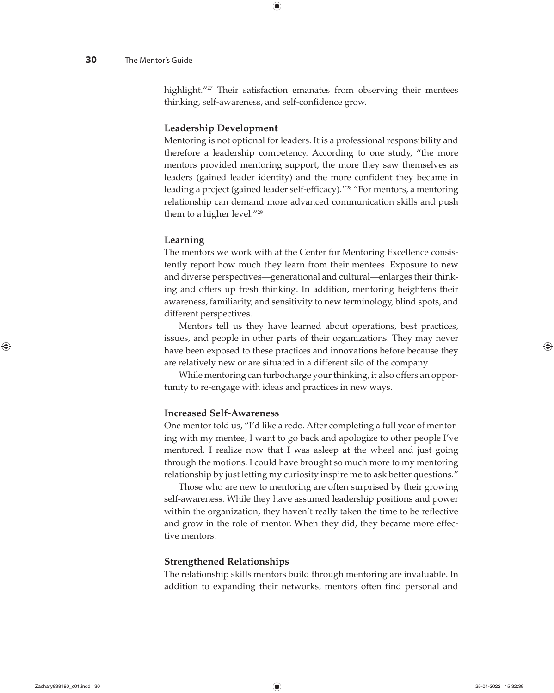highlight."<sup>27</sup> Their satisfaction emanates from observing their mentees thinking, self-awareness, and self-confidence grow.

⊕

#### **Leadership Development**

Mentoring is not optional for leaders. It is a professional responsibility and therefore a leadership competency. According to one study, "the more mentors provided mentoring support, the more they saw themselves as leaders (gained leader identity) and the more confident they became in leading a project (gained leader self-efficacy)."28 "For mentors, a mentoring relationship can demand more advanced communication skills and push them to a higher level."29

#### **Learning**

The mentors we work with at the Center for Mentoring Excellence consistently report how much they learn from their mentees. Exposure to new and diverse perspectives—generational and cultural—enlarges their thinking and offers up fresh thinking. In addition, mentoring heightens their awareness, familiarity, and sensitivity to new terminology, blind spots, and different perspectives.

Mentors tell us they have learned about operations, best practices, issues, and people in other parts of their organizations. They may never have been exposed to these practices and innovations before because they are relatively new or are situated in a different silo of the company.

While mentoring can turbocharge your thinking, it also offers an opportunity to re-engage with ideas and practices in new ways.

### **Increased Self-Awareness**

One mentor told us, "I'd like a redo. After completing a full year of mentoring with my mentee, I want to go back and apologize to other people I've mentored. I realize now that I was asleep at the wheel and just going through the motions. I could have brought so much more to my mentoring relationship by just letting my curiosity inspire me to ask better questions."

Those who are new to mentoring are often surprised by their growing self-awareness. While they have assumed leadership positions and power within the organization, they haven't really taken the time to be reflective and grow in the role of mentor. When they did, they became more effective mentors.

#### **Strengthened Relationships**

The relationship skills mentors build through mentoring are invaluable. In addition to expanding their networks, mentors often find personal and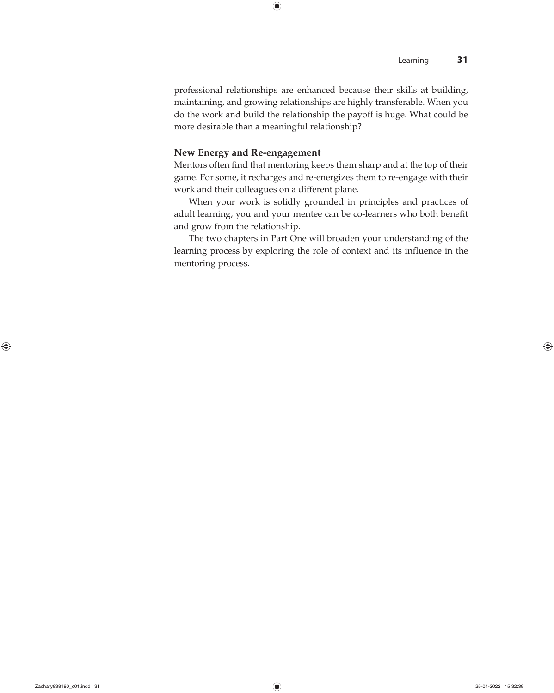professional relationships are enhanced because their skills at building, maintaining, and growing relationships are highly transferable. When you do the work and build the relationship the payoff is huge. What could be more desirable than a meaningful relationship?

#### **New Energy and Re-engagement**

 $\bigoplus$ 

Mentors often find that mentoring keeps them sharp and at the top of their game. For some, it recharges and re-energizes them to re-engage with their work and their colleagues on a different plane.

When your work is solidly grounded in principles and practices of adult learning, you and your mentee can be co-learners who both benefit and grow from the relationship.

The two chapters in Part One will broaden your understanding of the learning process by exploring the role of context and its influence in the mentoring process.

 $\bigcirc$ 

♠